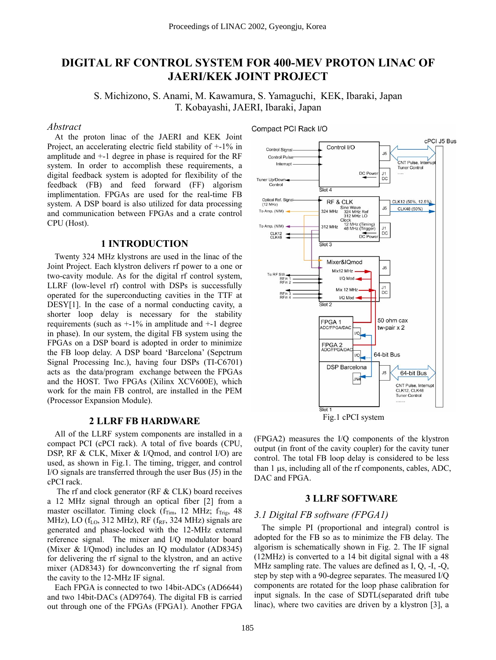# **DIGITAL RF CONTROL SYSTEM FOR 400-MEV PROTON LINAC OF JAERI/KEK JOINT PROJECT**

S. Michizono, S. Anami, M. Kawamura, S. Yamaguchi, KEK, Ibaraki, Japan T. Kobayashi, JAERI, Ibaraki, Japan

#### *Abstract*

At the proton linac of the JAERI and KEK Joint Project, an accelerating electric field stability of +-1% in amplitude and +-1 degree in phase is required for the RF system. In order to accomplish these requirements, a digital feedback system is adopted for flexibility of the feedback (FB) and feed forward (FF) algorism implimentation. FPGAs are used for the real-time FB system. A DSP board is also utilized for data processing and communication between FPGAs and a crate control CPU (Host).

### **1 INTRODUCTION**

Twenty 324 MHz klystrons are used in the linac of the Joint Project. Each klystron delivers rf power to a one or two-cavity module. As for the digital rf control system, LLRF (low-level rf) control with DSPs is successfully operated for the superconducting cavities in the TTF at DESY[1]. In the case of a normal conducting cavity, a shorter loop delay is necessary for the stability requirements (such as  $+1\%$  in amplitude and  $+1$  degree in phase). In our system, the digital FB system using the FPGAs on a DSP board is adopted in order to minimize the FB loop delay. A DSP board 'Barcelona' (Sepctrum Signal Processing Inc.), having four DSPs (TI-C6701) acts as the data/program exchange between the FPGAs and the HOST. Two FPGAs (Xilinx XCV600E), which work for the main FB control, are installed in the PEM (Processor Expansion Module).

### **2 LLRF FB HARDWARE**

All of the LLRF system components are installed in a compact PCI (cPCI rack). A total of five boards (CPU, DSP, RF & CLK, Mixer & I/Qmod, and control I/O) are used, as shown in Fig.1. The timing, trigger, and control I/O signals are transferred through the user Bus (J5) in the cPCI rack.

The rf and clock generator (RF & CLK) board receives a 12 MHz signal through an optical fiber [2] from a master oscillator. Timing clock  $(f_{Tim}$ , 12 MHz;  $f_{Trig}$ , 48 MHz), LO  $(f<sub>LO</sub>, 312 MHz)$ , RF  $(f<sub>RF</sub>, 324 MHz)$  signals are generated and phase-locked with the 12-MHz external reference signal. The mixer and I/Q modulator board (Mixer & I/Qmod) includes an IQ modulator (AD8345) for delivering the rf signal to the klystron, and an active mixer (AD8343) for downconverting the rf signal from the cavity to the 12-MHz IF signal.

Each FPGA is connected to two 14bit-ADCs (AD6644) and two 14bit-DACs (AD9764). The digital FB is carried out through one of the FPGAs (FPGA1). Another FPGA Compact PCI Rack I/O



Fig.1 cPCI system

(FPGA2) measures the I/Q components of the klystron output (in front of the cavity coupler) for the cavity tuner control. The total FB loop delay is considered to be less than 1 µs, including all of the rf components, cables, ADC, DAC and FPGA.

### **3 LLRF SOFTWARE**

### *3.1 Digital FB software (FPGA1)*

The simple PI (proportional and integral) control is adopted for the FB so as to minimize the FB delay. The algorism is schematically shown in Fig. 2. The IF signal (12MHz) is converted to a 14 bit digital signal with a 48 MHz sampling rate. The values are defined as I, Q, -I, -Q, step by step with a 90-degree separates. The measured I/Q components are rotated for the loop phase calibration for input signals. In the case of SDTL(separated drift tube linac), where two cavities are driven by a klystron [3], a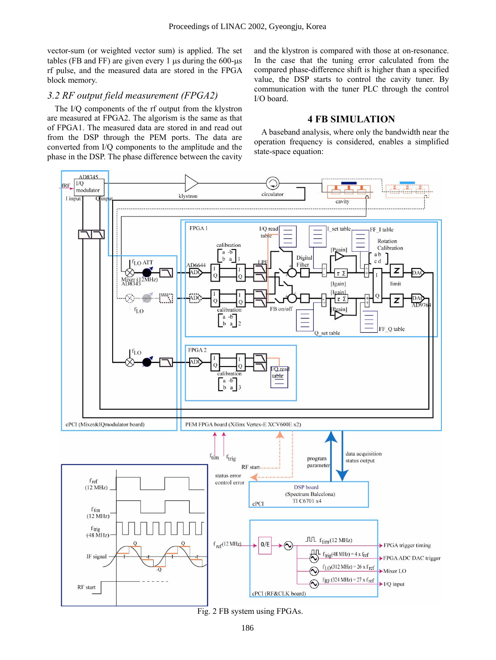vector-sum (or weighted vector sum) is applied. The set tables (FB and FF) are given every 1  $\mu$ s during the 600- $\mu$ s rf pulse, and the measured data are stored in the FPGA block memory.

# *3.2 RF output field measurement (FPGA2)*

The I/Q components of the rf output from the klystron are measured at FPGA2. The algorism is the same as that of FPGA1. The measured data are stored in and read out from the DSP through the PEM ports. The data are converted from I/Q components to the amplitude and the phase in the DSP. The phase difference between the cavity

and the klystron is compared with those at on-resonance. In the case that the tuning error calculated from the compared phase-difference shift is higher than a specified value, the DSP starts to control the cavity tuner. By communication with the tuner PLC through the control I/O board.

# **4 FB SIMULATION**

A baseband analysis, where only the bandwidth near the operation frequency is considered, enables a simplified state-space equation:



Fig. 2 FB system using FPGAs.